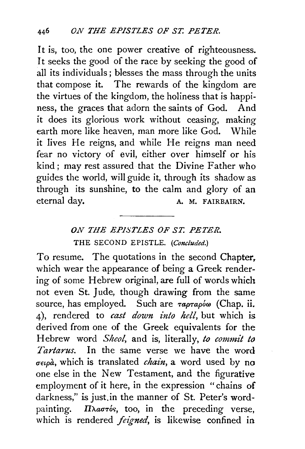It is, too, the one power creative of righteousness. It seeks the good of the race by seeking the good of all its individuals; blesses the mass through the units that compose it. The rewards of the kingdom are the virtues of the kingdom, the holiness that is happiness, the graces that adorn the saints of God. And it does its glorious work without ceasing, making earth more like heaven, man more like God. While it lives He reigns, and while He reigns man need fear no victory of evil, either over himself or his kind; may rest assured that the Divine Father who guides the world, will guide it, through its shadow as through its sunshine, to the calm and glory of an eternal day. A. M. FAIRBAIRN.

## *ON THE EPISTLES OF ST. PETER.*  THE SECOND EPISTLE. *(Concluded.)*

To resume. The quotations in the second Chapter, which wear the appearance of being a Greek rendering of some Hebrew original, are full of words which not even St. Jude, though drawing from the same source, has employed. Such are  $\tau a \rho \tau a \rho \delta \omega$  (Chap. ii. 4), rendered to *cast down into hell,* but which is derived from one of the Greek equivalents for the Hebrew word *Sheol,* and is, literally, *to commit to Tartarus.* In the same verse we have the word *uetpa,* which is translated *chain,* a word used by no one else in the New Testament, and the figurative employment of it here, in the expression "chains of darkness," is just.in the manner of St. Peter's wordpainting. *IIAaoros*, too, in the preceding verse, which is rendered *feigned,* is likewise confined in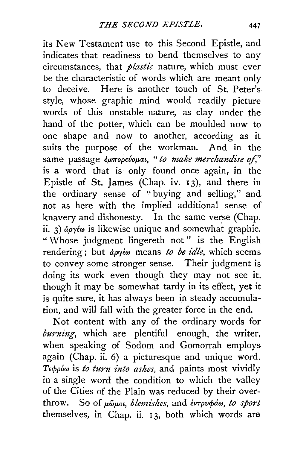its New Testament use to this Second Epistle, and indicates that readiness to bend themselves to any circumstances, that *plastic* nature, which must ever be the characteristic of words which are meant only to deceive. Here is another touch of St. Peter's style, whose graphic mind would readily picture words of this unstable nature, as clay under the hand of the potter, which can be moulded now to one shape and now to another, according as it suits the purpose of the workman. And in the same passage *Europevoual*, " to make merchandise of," is a word that is· only found once again, in the Epistle of St. James (Chap. iv. 13), and there in the ordinary sense of "buying and selling," and not as here with the implied additional sense of knavery and dishonesty. In the same verse (Chap. ii. 3) *apyto* is likewise unique and somewhat graphic. " Whose judgment lingereth not" is the English rendering; but *άργέω* means *to be idle*, which seems to convey some stronger sense. Their judgment is doing its work even though they may not see it, though it may be somewhat tardy in its effect, yet it is quite sure, it has always been in steady accumulation, and will fall with the greater force in the end.

Not content with any of the ordinary words for  $burning$ , which are plentiful enough, the writer, when speaking of Sodom and Gomorrah employs again (Chap. ii. 6) a picturesque and unique word. T<sub>εφρόω</sub> is *to turn into ashes*, and paints most vividly in a single word the condition to which the valley of the Cities of the Plain was reduced by their overthrow. So of  $\mu\tilde{\omega}\mu$ ou, *blemishes*, and *evrpvoia*, to sport themselves, in Chap. ii. 13, both which words are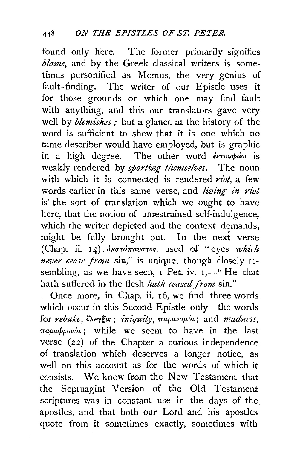found only here. The former primarily signifies *blame,* and by the Greek classical writers is sometimes personified as Momus, the very genius of fault-finding. The writer of our Epistle uses it for those grounds on which one may find fault with anything, and this our translators gave very well by *blemishes*; but a glance at the history of the word is sufficient to shew that it is one which no tame describer would have employed, but is graphic in a high degree. The other word  $\partial \psi$ weakly rendered by *sporting themselves*. The noun with which it is connected is rendered *riot,* a few words earlier in this same verse, and *living in riot*  is the sort of translation which we ought to have here, that the notion of unrestrained self-indulgence, which the writer depicted and the context demands. might be fully brought out. In the next verse (Chap. ii. 14), *dkatamavotos*, used of "eyes *which never cease from* sin," is unique, though closely resembling, as we have seen,  $I$  Pet. iv.  $I,$ ....... He that hath suffered in the flesh *hath ceased from* sin."

Once more, in Chap. ii. 16, we find three words which occur in this Second Epistle only—the words for *rebuke*,  $\epsilon \rightarrow \epsilon$  *iniquity*,  $\pi$ *apavoµla*; and *madness*,  $\pi$ *apa* $\phi$ *povía*; while we seem to have in the last verse (22) of the Chapter a curious independence of translation which deserves a longer notice, as well on this account as for the words of which it consists. We know from the New Testament that the Septuagint Version of the Old Testament scriptures was in constant use in the days of the apostles, and that both our Lord and his apostles quote from it sometimes exactly, sometimes with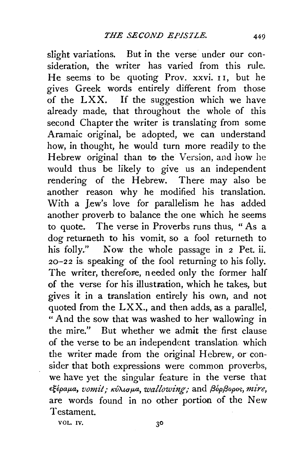slight variations. But in the verse under our consideration, the writer has varied from this rule. He seems to be quoting Prov. xxvi. II, but he gives Greek words entirely different from those of the LXX. If the suggestion which we have already made, that throughout the whole of this second Chapter the writer is translating from some Aramaic original, be adopted, we can understand how, in thought, he would turn more readily to the Hebrew original than to the Version, and how he would thus be likely to give us an independent rendering of the Hebrew. There may also be another reason why he modified his translation. With a Jew's love for parallelism he has added another proverb to balance the one which he seems to quote. The verse in Proverbs runs thus, " As a dog returneth to his vomit, so a fool returneth to his folly." Now the whole passage in *2* Pet. ii. 20-22 is, speaking of the fool returning to his folly. The writer, therefore, needed only the former half of the verse for his illustration, which he takes, but gives it in a translation entirely his own, and not quoted from the  $LXX$ , and then adds, as a parallel, "And the sow that was washed to her wallowing in the mire." But whether we admit the first clause of the verse to be an independent translation which the writer made from the original Hebrew, or consider that both expressions were common proverbs, we have yet the singular feature in the verse that  $\epsilon \xi$ έραμα, *vomit; κύλισμα, wallowing;* and βόρβορος, *mire*, are words found in no other portion of the New Testament.

VOL. IV.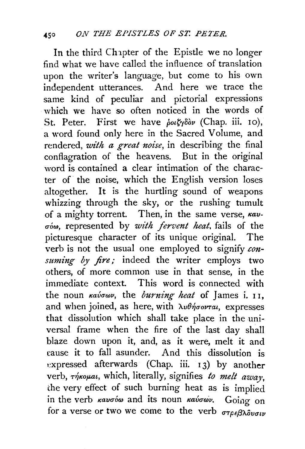In the third Chapter of the Epistle we no longer find what we have called the influence of translation upon the writer's language, but come to his own independent utterances. And here we trace the same kind of peculiar and pictorial expressions which we have so often noticed in the words of St. Peter. First we have  $\frac{\partial o}{\partial r}$  (Chap. iii. 10), a word found only here in the Sacred Volume, and rendered, *with a great noise*, in describing the final conflagration of the heavens. But in the original word is contained a clear intimation of the character of the noise, which the English version loses altogether. It is the hurtling sound of weapons whizzing through the sky, or the rushing tumult of a mighty torrent. Then, in the same verse, *Kavuow,* represented by *with fervent heat,* fails of the picturesque character of its unique original. The verb is not the usual one employed to signify  $con$ *suming by fire;* indeed the writer employs two others, of more common use in that sense, in the immediate context. This word is connected with the noun *καύσων*, the *burning heat* of James i. 11, and when joined, as here, with  $\lambda \nu \theta \eta \sigma \nu \tau \alpha \iota$ , expresses that dissolution which shall take place in the universal frame when the fire of the last day shall blaze down upon it, and, as it were, melt it and cause it to fall asunder. And this dissolution is expressed afterwards (Chap. iii. 13) by another verb,  $\tau$ */<sub>T</sub>/Koµat*, which, literally, signifies *to melt away*, the very effect of such burning heat as is implied in the verb *καυσύω* and its noun *καύσων*. Going on for a verse or two we come to the verb  $\sigma\tau_{\alpha\epsilon}g_{\lambda\alpha}$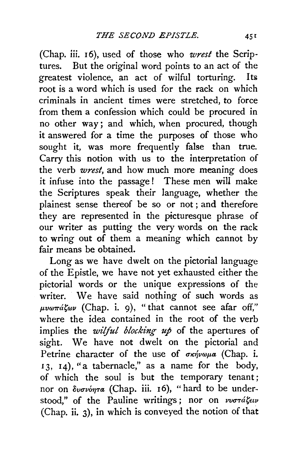(Chap. iii. 16), used of those who *wrest* the Scriptures. But the original word points to an act of the greatest violence, an act of wilful torturing. Its root is a word which is used for the rack on which criminals in ancient times were stretched, to force from them a confession which could be procured in no other way; and which, when procured, though it answered for a time the purposes of those who sought it, was more frequently false than true. Carry this notion with us to the interpretation of the verb *wrest,* and how much more meaning does it infuse into the passage ! These men will make the Scriptures speak their language, whether the plainest sense thereof be so or not ; and therefore they are represented in the picturesque phrase of our writer as putting the very words on the rack to wring out of them a meaning which cannot by fair means be obtained.

Long as we have dwelt on the pictorial language of the Epistle, we have not yet exhausted either the pictorial words or the unique expressions of the writer. We have said nothing of such words as  $\mu\nu\omega\pi\acute{a}\zeta\omega\nu$  (Chap. i. 9), "that cannot see afar off," where the idea contained in the root of the verb implies the *wilful blocking up* of the apertures of sight. We have not dwelt on the pictorial and Petrine character of the use of  $\sigma \kappa \dot{\eta} \nu \omega \mu a$  (Chap. i. <sup>I</sup>3, 14), "a tabernacle," as a name for the body, of which the soul is but the temporary tenant; nor on  $\delta\nu\sigma\nu\acute{o}\eta\tau\alpha$  (Chap. iii. 16), "hard to be understood," of the Pauline writings; nor on  $\nu\nu\sigma\tau d\zeta\epsilon\nu$ (Chap. ii. 3), in which is conveyed the notion of that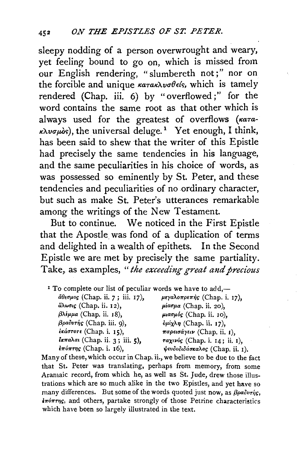sleepy nodding of a person overwrought and weary, yet feeling bound to go on, which is missed from our English rendering, "slumbereth not;" nor on the forcible and unique  $\kappa a \tau a \kappa \lambda \nu \sigma \theta \epsilon$ , which is tamely rendered (Chap. iii. 6) by "overflowed;" for the word contains the same root as that other which is always used for the greatest of overflows  $(\kappa a\tau a\tau)$  $\kappa\lambda\nu\sigma\mu\delta s$ ), the universal deluge.<sup>1</sup> Yet enough, I think, has been said to shew that the writer of this Epistle had precisely the same tendencies in his language, and the same peculiarities in his choice of words, as was possessed so eminently by St. Peter, and these tendencies and peculiarities of no ordinary character, but such as make St. Peter's utterances remarkable among the writings of the New Testament.

But to continue. We noticed in the First Epistle that the Apostle was fond of a duplication of terms and delighted in a wealth of epithets. In the Second Epistle we are met by precisely the same partiality. Take, as examples, "the exceeding great and precious

| If To complete our list of peculiar words we have to add,— |                                |
|------------------------------------------------------------|--------------------------------|
| άθεσμος (Chap. ii. 7; iii. 17),                            | μεγαλοπρεπής (Chap. i. 17),    |
| äλωσις (Chap. ii. 12),                                     | $\mu$ ίασμα (Chap. ii. 20),    |
| $βλ$ έμμα (Chap. ii. 18),                                  | μιασμός (Chap. ii. 10),        |
| βραδυτής (Chap. iii. 9),                                   | $\phi\mu$ ίχλη (Chap. ii. 17), |
| εκάστοτε (Chap. i. 15),                                    | παρεισάγειν (Chap. ii. 1),     |
| <i>ικπαλαι</i> (Chap. ii. 3; iii. 5),                      | ταχινός (Chap. i. 14; ii. 1),  |
| $i\pi\acute{o}\pi\tau\eta\varsigma$ (Chap. i. 16),         | ψευδοδιδάσκαλος (Chap. ii. 1). |

Many of these, which occur in Chap. ii., we believe to be due to the fact that St. Peter was translating, perhaps from memory, from some Aramaic record, from which he, as well as St. Jude, drew those illustrations which are so much alike in the two Epistles, and yet have so many differences. But some of the words quoted just now, as  $\beta \rho a \delta v r \eta s$ , *inónrns*, and others, partake strongly of those Petrine characteristics which have been so largely illustrated in the text.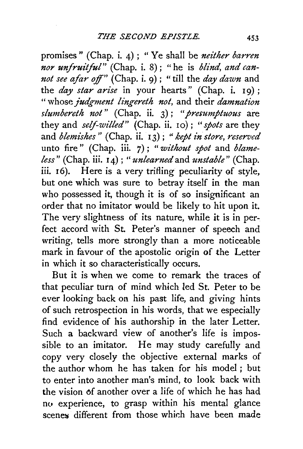promises" (Chap. i. 4) ; "Ye shall be *neither barren nor unfruitful"* (Chap. i. 8); "he is *blind, and cannot see afar off"* (Chap. i. 9); "till the *day dawn* and the *day star arise* in your hearts" (Chap. i. 19) ; " whose *judgment lingereth not,* and their *damnation slumbereth not"* (Chap. ii. 3); *"presumptuous* are they and *self-witted"* (Chap. ii. 10) ; " *spots* are they and *blemishes"* (Chap. ii. 13) ; *"kept in store, reserved*  unto fire" (Chap. iii. 7); *"without spot* and *blameless"* (Chap. iii. I 4) ; *"unlearned* and *unstable"* (Chap. iii. 16). Here is a very trifling peculiarity of style, but one which was sure to betray itself in the man who possessed it, though it is of so insignificant an order that no imitator would be likely to hit upon it. The very slightness of its nature, while it is in perfect accord with St. Peter's manner of speech and writing, tells more strongly than a more noticeable mark in favour of the apostolic origin of the Letter in which it so characteristically occurs.

But it is when we come to remark the traces of that peculiar turn of mind which led St. Peter to be ever looking back on his past life, and giving hints of such retrospection in his words, that we especially find evidence of his authorship in the later Letter. Such a backward view of another's life is impossible to an imitator. He may study carefully and copy very closely the objective external marks of the author whom he has taken for his model ; but to enter into another man's mind, to look back with the vision of another over a life of which he has had no experience, to grasp within his mental glance scenes<sup> different</sup> from those which have been made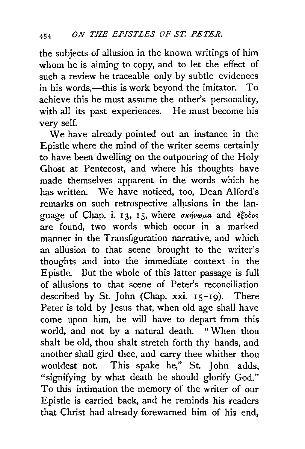the subjects of allusion in the known writings of him whom he is aiming to copy, and to let the effect of such a review be traceable only by subtle evidences in his words,—this is work beyond the imitator. To achieve this he must assume the other's personality, with all its past experiences. He must become his very self.

We have already pointed out an instance in the Epistle where the mind of the writer seems certainly to have been dwelling on the outpouring of the Holy Ghost at Pentecost, and where his thoughts have made themselves apparent in the words which he has written. We have noticed, too, Dean Alford's remarks on such retrospective allusions in the language of Chap. i. 13, 15, where  $\sigma \kappa \dot{\eta} \nu \omega \mu a$  and  $\dot{\epsilon} \xi_0 \delta \omega s$ are found, two words which occur in a marked manner in the Transfiguration narrative, and which an allusion to that scene brought to the writer's thoughts and into the immediate context in the Epistle. But the whole of this latter passage is full of allusions to that scene of Peter's reconciliation described by St. *I*ohn (Chap. xxi. 15-19). There Peter is told by Jesus that, when old age shall have come upon him, he will have to depart from this world, and not by a natural death. "When thou shalt be old. thou shalt stretch forth thy hands, and another shall gird thee, and carry thee whither thou wouldest not. This spake he," St. *1* ohn adds, "signifying by what death he should glorify God." To this intimation the memory of the writer of our Epistle is carried back, and he reminds his readers that Christ had already forewarned him of his end,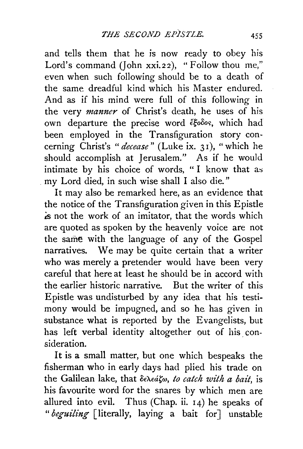and tells them that he is now ready to obey his Lord's command (John xxi.22), "Follow thou me," even when such following should be to a death of the same dreadful kind which his Master endured. And as if his mind were full of this following in the very *manner* of Christ's death, he uses of his own departure the precise word έξοδος, which had been employed in the Transfiguration story concerning Christ's *"decease"* (Luke ix. 31 ), "which he should accomplish at Jerusalem." As if he would intimate by his choice of words, " I know that as . my Lord died, in such wise shall I also die."

It may also be remarked here, as an evidence that the notice of the Transfiguration given in this Epistle ~s not the work of an imitator, that the words which are quoted as spoken by the heavenly voice are not the same with the language of any of the Gospel narratives. We may be quite certain that a writer who was merely a pretender would have been very careful that here at least he should be in accord with the earlier historic narrative. But the writer of this Epistle was undisturbed by any idea that his testimony would be impugned, and so he has given in substance what is reported by the Evangelists, but has left verbal identity altogether out of his consideration.

It is a small matter, but one which bespeaks the fisherman who in early days had plied his trade on the Galilean lake, that δελεάζω, *to catch with a bait*, is his favourite word for the snares by which men are allured into evil. Thus (Chap. ii.  $14$ ) he speaks of *"beguiling* [literally, laying a bait for] unstable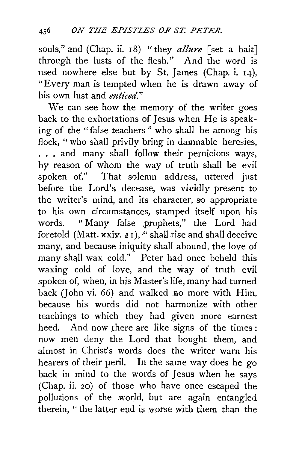souls," and (Chap. ii. 18) "they *allure* [set a bait] through the lusts of the flesh." And the word is used nowhere else but by St. James (Chap. i. 14), "Every man is tempted when he is drawn away of his own lust and *enticed."* 

We can see how the memory of the writer goes back to the exhortations of Jesus when He is speaking of the "false teachers" who shall be among his flock, " who shall privily bring in damnable heresies, . . . and many shall follow their pernicious ways, by reason of whom the way of truth shall be evil spoken of." That solemn address, uttered just before the Lord's decease, was vividly present to the writer's mind, and its character, so appropriate to his own circumstances, stamped itself upon his words. " Many false .prophets," the Lord had foretold (Matt. xxiv.  $I1$ ), " shall rise and shall deceive many, and because iniquity shall abound, the love of many shall wax cold." Peter had once beheld this waxing cold of love, and the way of truth evil spoken of, when, in his Master's life, many had turned back (John vi. 66) and walked .no more with Him, because his words did not harmonize with other teachings to which they had given more earnest heed. And now there are like signs of the times: now men deny the Lord that bought them, and almost in Christ's words does the writer warn his hearers of their peril. In the same way does he go back in mind to the words of Jesus when he says (Chap. ii. 20) of those who have once escaped the pollutions of the world, but are again entangled therein, "the latter end is worse with them than the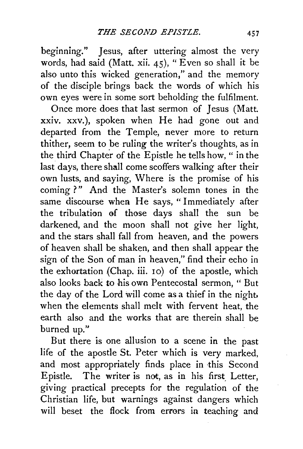beginning." Jesus, after uttering almost the very words, had said (Matt. xii. 45), "Even so shall it be also unto this wicked generation," and the memory of the disciple brings back the words of which his own eyes were in some sort beholding the fulfilment.

Once more does that last sermon of Jesus (Matt. xxiv. xxv.), spoken when He had gone out and departed from the Temple, never more to return thither, seem to be ruling the writer's thoughts, as in the third Chapter of the Epistle he tells how, " in the last days, there shall come scoffers walking after their own lusts, and saying, Where is the promise of his coming ?" And the Master's solemn tones in the same discourse when He says, "Immediately after the tribulation of those days shall the sun be darkened, and the moon shall not give her light, and the stars shall fall from heaven, and the powers of heaven shall be shaken, and then shall appear the sign of the Son of man in heaven," find their echo in the exhortation (Chap. iii. 10) of the apostle, which also looks back to his own Pentecostal sermon, " But the day of the Lord will come as a thief in the night. when the elements shall melt with fervent heat, the earth also and the works that are therein shall be burned up."

But there is one allusion to a scene in the past life of the apostle St. Peter which is very marked, and most appropriately finds place in this Second Epistle. The writer is not, as in his first Letter, giving practical precepts for the regulation of the Christian life, but warnings against dangers which will beset the flock from errors in teaching and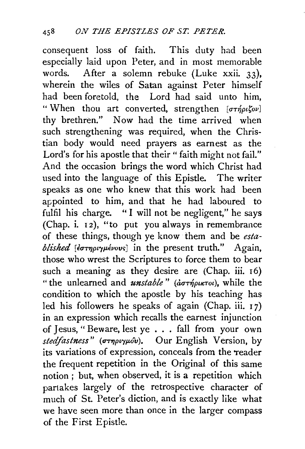consequent loss of faith. This duty had been especially laid upon Peter, and in most memorable words. After a solemn rebuke (Luke xxii. 33), wherein the wiles of Satan against Peter himself had been foretold, the Lord had said unto him, "When thou art converted, strengthen  $[\sigma \tau \eta \rho \iota \zeta \sigma \nu]$ thy brethren." Now had the time arrived when such strengthening was required, when the Christian body would need prayers as earnest as the Lord's for his apostle that their " faith might not fail." And the occasion brings the word which Christ had used into the language of this Epistle. The writer speaks as one who knew that this work had been appointed to him, and that he had laboured to fulfil his charge. "I will not be negligent," he says (Chap. i. 12), "to put you always in remembrance of these things, though ye know them and be *established* [ $\epsilon \sigma \tau \eta \rho \nu \gamma \mu \epsilon \nu \nu$ s] in the present truth." Again, those who wrest the Scriptures to force them to bear such a meaning as they desire are (Chap. iii. 16) " the unlearned and  $\textit{unstable}$ " ( $\textit{d} \sigma \tau \textit{if}(p\mu\pi \sigma \nu)$ , while the condition to which the apostle by his teaching has led his followers he speaks of again (Chap. iii.  $17$ ) in an expression which recalls the earnest injunction of Jesus, "Beware, lest ye ... fall from your own *stedfastness*" (στηριγμόν). Our English Version, by its variations of expression, conceals from the Teader the frequent repetition in the Original of this same notion ; but, when observed, it is a repetition which partakes largely of the retrospective character of much of St. Peter's diction, and is exactly like what we have seen more than once in the larger compass of the First Epistle.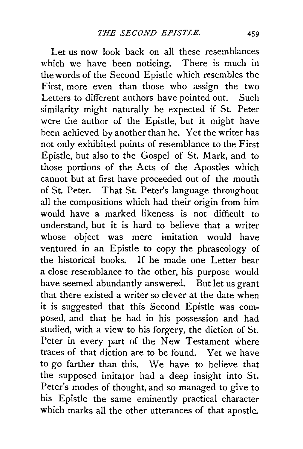Let us now look back on all these resemblances which we have been noticing. There is much in the words of the Second Epistle which resembles the First, more even than those who assign the two Letters to different authors have pointed out. Such similarity might naturally be expected if St. Peter were the author of the Epistle, but it might have been achieved by another than he. Yet the writer has not only exhibited points of resemblance to the First Epistle, but also to the Gospel of St. Mark, and to those portions of the Acts of the Apostles which cannot but at first have proceeded out of the mouth of St. Peter. That St. Peter's language throughout all the compositions which had their origin from him would have a marked likeness is not difficult to understand, but it is hard to believe that a writer whose object was mere imitation would have ventured in an Epistle to copy the phraseology of the historical books. If he made one Letter bear a close resemblance to the other, his purpose would have seemed abundantly answered. But let us grant that there existed a writer so clever at the date when it is suggested that this Second Epistle was composed, and that he had in his possession and had studied, with a view to his forgery, the diction of St. Peter in every part of the New Testament where traces of that diction are to be found. Yet we have to go farther than this. We have to believe that the supposed imitator had a deep insight into St. Peter's modes of thought, and so managed to give to his Epistle the same eminently practical character which marks all the other utterances of that apostle.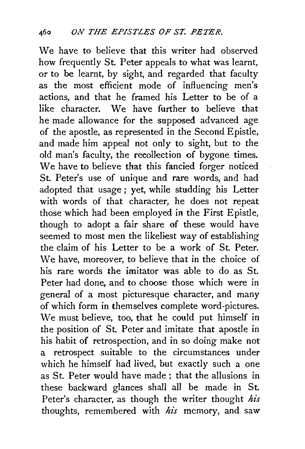We have to believe that this writer had observed how frequently St. Peter appeals to what was learnt, or to be learnt, by sight, and regarded that faculty as the most efficient mode of influencing men's actions, and that he framed his Letter to be of a like character. We have further to believe that he made allowance for the supposed advanced age of the apostle, as represented in the Second Epistle, and made him appeal not only to sight, but to the old man's faculty, the recollection of bygone times. We have to believe that this fancied forger noticed St. Peter's use of unique and rare words, and had adopted that usage ; yet, while studding his Letter with words of that character, he does not repeat those which had been employed in the First Epistle, though to adopt a fair share of these would have seemed to most men the likeliest way of establishing the claim of his Letter to be a work of St. Peter. We have, moreover, to believe that in the choice of his rare words the imitator was able to do as St. Peter had done, and to choose those which were in general of a most picturesque character, and many of which form in themselves complete word-pictures. We must believe, too, that he could put himself in the position of St. Peter and imitate that apostle in his habit of retrospection, and in so doing make not a retrospect suitable to the circumstances under which he himself had lived, but exactly such a one as St. Peter would have made; that the allusions in these backward glances shall all be made in St. Peter's character, as though the writer thought *his*  thoughts, remembered with *his* memory, and saw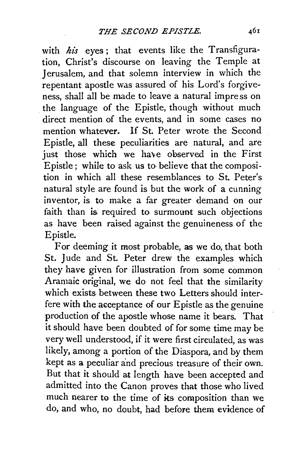with his eyes; that events like the Transfiguration, Christ's discourse on leaving the Temple at Jerusalem, and that solemn interview in which the repentant apostle was assured of his Lord's forgiveness, shall all be made to leave a natural impress on the language of the Epistle, though without much direct mention of the events, and in some cases no mention whatever. If St. Peter wrote the Second Epistle, all these peculiarities are natural, and are just those which we have observed in the First Epistle; while to ask us to· believe that the composition in which all these resemblances to St. Peter's natural style are found is but the work of a cunning inventor, is to make a far greater demand on our faith than is required to surmount such objections as have been raised against the genuineness of the Epistle.

For deeming it most probable, as we do, that both St. Jude and St. Peter drew the examples which they have given for illustration from some common Aramaic original, we do not feel that the similarity which exists between these two Letters should interfere with the acceptance of our Epistle as the genuine production of the apostle whose name it bears. That it should have been doubted of for some time may be very well understood, if it were first circulated, as was likely, among a portion of the Diaspora, and by them kept as a peculiar and precious treasure of their own. But that it should at length have been accepted and admitted into the Canon proves that those who lived much nearer to the time of its composition than we do, and who, no doubt, had before them evidence of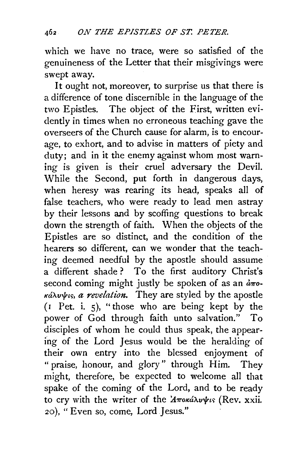which we have no trace, were so satisfied of the genuineness of the Letter that their misgivings were swept away.

It ought not, moreover, to surprise us that there is a difference of tone discernible in the language of the two Epistles. The object of the First, written evidently in times when no erroneous teaching gave the overseers of the Church cause for alarm, is to encourage, to exhort, and to advise in matters of piety and duty; and in it the enemy against whom most warning is given is their cruel adversary the Devil. While the Second, put forth in dangerous days, when heresy was rearing its head, speaks all of false teachers, who were ready to lead men astray by their lessons and by scoffing questions to break down the strength of faith. When the objects of the Epistles are so distinct, and the condition of the hearers so different, can we wonder that the teaching deemed needful by the apostle should assume a different shade? To the first auditory Christ's second coming might justly be spoken of as an  $d\pi$ o $x^2$   $\cdots$  *k a revelation.* They are styled by the apostle (r Pet. i. 5), "those who are being kept by the power of God through faith unto salvation." To disciples of whom he could thus speak, the appearing of the Lord Jesus would be the heralding of their own entry into the blessed enjoyment of " praise, honour, and glory" through Him. They might, therefore, be expected to welcome all that spake of the coming of the Lord, and to be ready to cry with the writer of the  $A$ *Toka* $\lambda$ v $\psi$ *is* (Rev. xxii. 20), "Even so, come, Lord Jesus."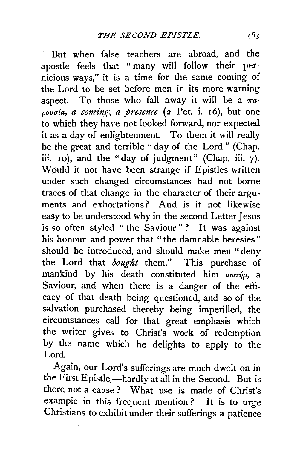But when false teachers are abroad, and the apostle feels that " many will follow their pernicious ways," it is a time for the same coming of the Lord to be set before men in its more warning aspect. To those who fall away it will be a  $\pi a$ povoía, a coming, a presence (2 Pet. i. 16), but one to which they have not looked forward, nor expected it as a day of enlightenment. To them it will really be the great and terrible "day of the Lord" (Chap. iii. 10), and the "day of judgment" (Chap. iii. 7). Would it not have been strange if Epistles written under such changed circumstances had not borne traces of that change in the character of their arguments and exhortations? And is it not likewise easy to be understood why in the second Letter Jesus is so often styled "the Saviour"? It was against his honour and power that "the damnable heresies" should be introduced, and should make men "deny the Lord that *bought* them." This purchase of mankind by his death constituted him  $\sigma\omega\tau\eta\rho$ , a Saviour, and when there is a danger of the efficacy of that death being questioned, and so of the salvation purchased thereby being imperilled, the circumstances call for that great emphasis which the writer gives to Christ's work of redemption by the name which he delights to apply to the Lord.

Again, our Lord's sufferings are much dwelt on in the First Epistle,—hardly at all in the Second. But is there not a cause? What use is made of Christ's example in this frequent mention ? It is to urge Christians to exhibit under their sufferings a patience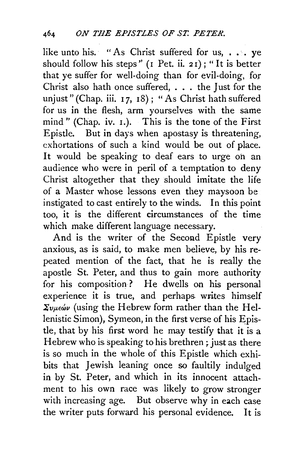like unto his. " As Christ suffered for us, ... ve should follow his steps"  $(I$  Pet. ii. 21); "It is better that ye suffer for well-doing than for evil-doing, for Christ also hath once suffered, . . . the Just for the unjust" (Chap. iii. I 7, I8); "As Christ hath suffered for us in the flesh, arm yourselves with the same mind" (Chap. iv. 1.). This is the tone of the First Epistle. But in days when apostasy is threatening, exhortations of such a kind would be out of place. It would be speaking to deaf ears to urge on an audience who were in peril of a temptation to deny Christ altogether that they should imitate the life of a Master whose lessons even they maysoon be instigated to cast entirely to the winds. In this point too, it is the different circumstances of the time which make different language necessary.

And is the writer of the Second Epistle very anxious, as is said, to make men believe, by his repeated mention of the fact, that he is really the apostle St. Peter, and thus to gain more authority for his composition ? He dwells on his personal experience it is true, and perhaps. writes himself  $\Sigma_{\nu\mu\epsilon\omega\nu}$  (using the Hebrew form rather than the Hellenistic Simon), Symeon, in the first verse of his Epistie, that by his first word he may testify that it is a Hebrew who is speaking to his brethren ; just as there is so much in the whole of this Epistle which exhibits that Jewish leaning once so faultily indulged in by St. Peter, and which in its innocent attachment to his own race was likely to *grow* stronger with increasing age. But observe why in each case the writer puts forward his personal evidence. It is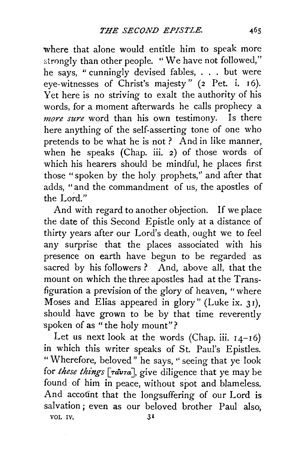where that alone would entitle him to speak more strongly than other people. "We have not followed," he says, " cunningly devised fables, . . . but were eye-witnesses of Christ's majesty" (2 Pet. i. 16). Yet here is no striving to exalt the authority of his words, for a moment afterwards he calls prophecy a *more sure* word than his own testimony. Is there here anything of the self-asserting tone of one who pretends to be what he is not? And in like manner, when he speaks (Chap. iii. *2)* of those words of which his hearers should be mindful, he places first those "spoken by the holy prophets,'' and after that adds, "and the commandment of us, the apostles of the Lord."

And with regard to another objection. If we place the date of this Second Epistle only at a distance of thirty years after our Lord's death, ought we to feel any surprise that the places associated with his presence on earth have begun to be regarded as sacred by his followers ? And, above all, that the mount on which the three apostles had at the Transfiguration a prevision of the glory of heaven, "where Moses and Elias appeared in glory" (Luke ix. 31), should have grown to be by that time reverently spoken of as "the holy mount"?

Let us next look at the words (Chap. iii.  $14-16$ ) in which this writer speaks of St. Paul's Epistles. "Wherefore, beloved" he says, " seeing that ye look for *these things* [ravra], give diligence that ye may be found of him in peace, without spot and blameless. And account that the longsuffering of our Lord is salvation ; even as our beloved brother Paul also, VOL IV,  $31$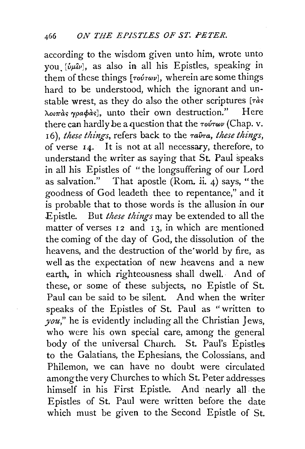according to the wisdom given unto him, wrote unto you.  $[\hat{v}_\mu \hat{u}_\nu]$ , as also in all his Epistles, speaking in them of these things [*Tovrwv*], wherein are some things hard to be understood, which the ignorant and unstable wrest, as they do also the other scriptures  $[\tau \dot{\alpha}s]$ <br>  $\lambda$ ourge woodgel unto their own destruction." Here  $\lambda$ outas ypa $\phi$ as<sup>1</sup>, unto their own destruction." there can hardly be a question that the *TovTwv* (Chap. v. 16), *these things*, refers back to the  $\tau a\hat{v}\tau a$ , *these things*, of verse 14. It is not at all necessary, therefore, to understand the writer as saying that St. Paul speaks in all his Epistles of "the longsuffering of our Lord as salvation." That apostle (Rom. *ii.* 4) says, "the goodness of God leadeth thee to repentance," and it is probable that to those words is the allusion in our Epistle. But *these things* may be extended to all the matter of verses  $12$  and  $13$ , in which are mentioned the coming of the day of God, the dissolution of the heavens, and the destruction of the'world by fire, as well as the expectation of new heavens and a new earth, in which righteousness shall dwell.· And of these, or some of these subjects, no Epistle of St. Paul can be said to be silent. And when the writer speaks of the Epistles of St. Paul as "written to *you,"* he is evidently including all the Christian Jews, who were his own special care, among the general body of the universal Church. St. Paul's Epistles to the Galatians, the Ephesians, the Colossians, and Philemon, we can have no doubt were circulated among the very Churches to which St. Peter addresses himself in his First Epistle. And nearly all. the Epistles of St. Paul were written before the date which must be given to the Second Epistle of St.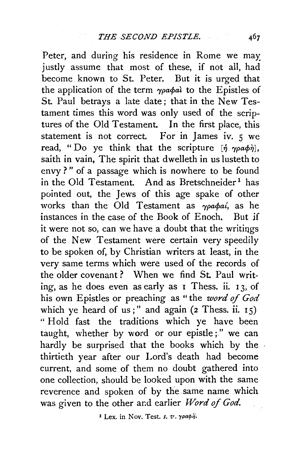Peter, and during his residence in Rome we may justly assume that most of these, if not all, had become known to St. Peter. But it is urged that the application of the term  $\gamma \rho \alpha \phi a \lambda$  to the Epistles of St. Paul betrays a late date; that in the New Testament times this word was only used of the scriptures of the Old Testament. In the first place, this statement is not correct. For in James iv. 5 we read, "Do ye think that the scripture  $[\hat{\eta}, \gamma \rho a \phi \hat{\eta}]$ , saith in vain, The spirit that dwelleth in us lusteth to envy ? " of a passage which is nowhere to be found in the Old Testament. And as Bretschneider<sup>1</sup> has pointed out, the Jews of this age spake of other works than the Old Testament as  $\gamma \rho a \phi a i$ , as he instances in the case of the Book of Enoch, But jf it were not so, can we have a doubt that the writings of the New Testament were certain very speedily to be spoken of, by Christian writers at least, in the very same terms which were used of the records of the older covenant ? When we find St. Paul writing, as he does even as early as 1 Thess. ii. 13, of his own Epistles or preaching as " the *word* of *God*  which ye heard of us;" and again  $(2$  Thess. ii.  $15)$ " Hold fast the traditions which ye have been taught, whether by word or our epistle;" we can hardly be surprised that the books which by the thirtieth year after our Lord's death had become current, and some of them no doubt gathered into one collection, should be looked upon with the same reverence and spoken of by the same name which was given to the other and earlier *Word of God*.

<sup>I</sup> Lex. in Nov. Test. s.  $v$ .  $\gamma \rho \alpha \phi \dot{\phi}$ .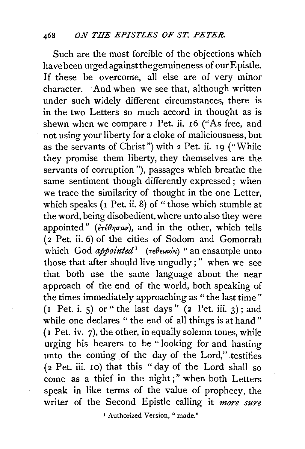Such are the most forcible of the objections which have been urged against the genuineness of our Epistle. If these be overcome. all else are of very minor character. ·And when we see that, although written under such widely different circumstances, there is in the two Letters so much accord in thought as is shewn when we compare I Pet. ii. I6 ("As free, and not using your liberty for a cloke of maliciousness, but as the servants of Christ") with  $2$  Pet. ii. 19 ("While they promise them liberty, they themselves are the servants of corruption"), passages which breathe the same sentiment though differently expressed ; when we trace the similarity of thought in the one Letter, which speaks ( $I$  Pet. ii. 8) of "those which stumble at the word, being disobedient, where unto also they were appointed" ( $\vec{\epsilon} \tau \hat{\epsilon} \theta \eta \sigma \alpha \nu$ ), and in the other, which tells  $\overline{2}$  Pet. ii. 6) of the cities of Sodom and Gomorrah which God *appointed*<sup>1</sup> (τεθεικώς) "an ensample unto those that after should live ungodly ; " when we see that both use the same language about the near approach of the end of the world, both speaking of the times immediately approaching as "the last time"  $(I$  Pet. i. 5) or " the last days"  $(2$  Pet. iii. 3); and while one declares " the end of all things is at hand" (I Pet. iv. 7), the other, in equally solemn tones, while urging his hearers to be " looking for and basting unto the coming of the day of the Lord," testifies (2 Pet. iii. 10) that this "day of the Lord shall so come as a thief in the night;" when both Letters speak in like terms of the value of prophecy, the writer of the Second Epistle calling it *more sure* 

<sup>1</sup> Authorized Version, "made."